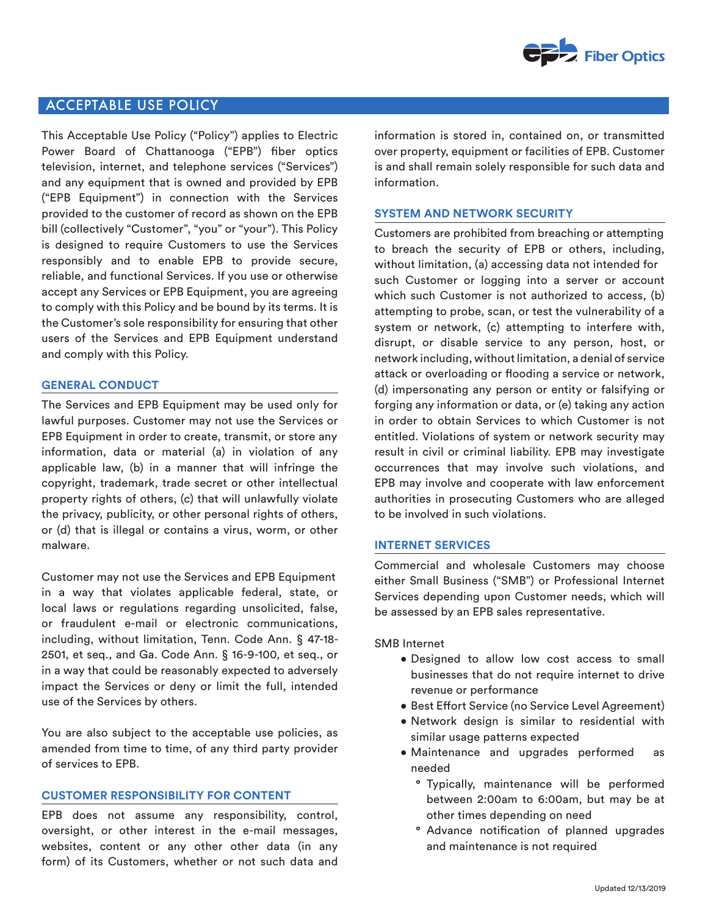

# ACCEPTABLE USE POLICY

This Acceptable Use Policy ("Policy") applies to Electric Power Board of Chattanooga ("EPB") fiber optics television, internet, and telephone services ("Services") and any equipment that is owned and provided by EPB ("EPB Equipment") in connection with the Services provided to the customer of record as shown on the EPB bill (collectively "Customer", "you" or "your"). This Policy is designed to require Customers to use the Services responsibly and to enable EPB to provide secure, reliable, and functional Services. If you use or otherwise accept any Services or EPB Equipment, you are agreeing to comply with this Policy and be bound by its terms. It is the Customer's sole responsibility for ensuring that other users of the Services and EPB Equipment understand and comply with this Policy.

#### **GENERAL CONDUCT**

The Services and EPB Equipment may be used only for lawful purposes. Customer may not use the Services or EPB Equipment in order to create, transmit, or store any information, data or material (a) in violation of any applicable law, (b) in a manner that will infringe the copyright, trademark, trade secret or other intellectual property rights of others, (c) that will unlawfully violate the privacy, publicity, or other personal rights of others, or (d) that is illegal or contains a virus, worm, or other malware.

Customer may not use the Services and EPB Equipment in a way that violates applicable federal, state, or local laws or regulations regarding unsolicited, false, or fraudulent e-mail or electronic communications, including, without limitation, Tenn. Code Ann. § 47-18- 2501, et seq., and Ga. Code Ann. § 16-9-100, et seq., or in a way that could be reasonably expected to adversely impact the Services or deny or limit the full, intended use of the Services by others.

You are also subject to the acceptable use policies, as amended from time to time, of any third party provider of services to EPB.

### **CUSTOMER RESPONSIBILITY FOR CONTENT**

EPB does not assume any responsibility, control, oversight, or other interest in the e-mail messages, websites, content or any other other data (in any form) of its Customers, whether or not such data and

information is stored in, contained on, or transmitted over property, equipment or facilities of EPB. Customer is and shall remain solely responsible for such data and information.

#### **SYSTEM AND NETWORK SECURITY**

Customers are prohibited from breaching or attempting to breach the security of EPB or others, including, without limitation, (a) accessing data not intended for such Customer or logging into a server or account which such Customer is not authorized to access, (b) attempting to probe, scan, or test the vulnerability of a system or network, (c) attempting to interfere with, disrupt, or disable service to any person, host, or network including, without limitation, a denial of service attack or overloading or flooding a service or network, (d) impersonating any person or entity or falsifying or forging any information or data, or (e) taking any action in order to obtain Services to which Customer is not entitled. Violations of system or network security may result in civil or criminal liability. EPB may investigate occurrences that may involve such violations, and EPB may involve and cooperate with law enforcement authorities in prosecuting Customers who are alleged to be involved in such violations.

#### **INTERNET SERVICES**

Commercial and wholesale Customers may choose either Small Business ("SMB") or Professional Internet Services depending upon Customer needs, which will be assessed by an EPB sales representative.

SMB Internet

- Designed to allow low cost access to small businesses that do not require internet to drive revenue or performance
- Best Effort Service (no Service Level Agreement)
- Network design is similar to residential with similar usage patterns expected
- Maintenance and upgrades performed as needed
	- ° Typically, maintenance will be performed between 2:00am to 6:00am, but may be at other times depending on need
	- ° Advance notification of planned upgrades and maintenance is not required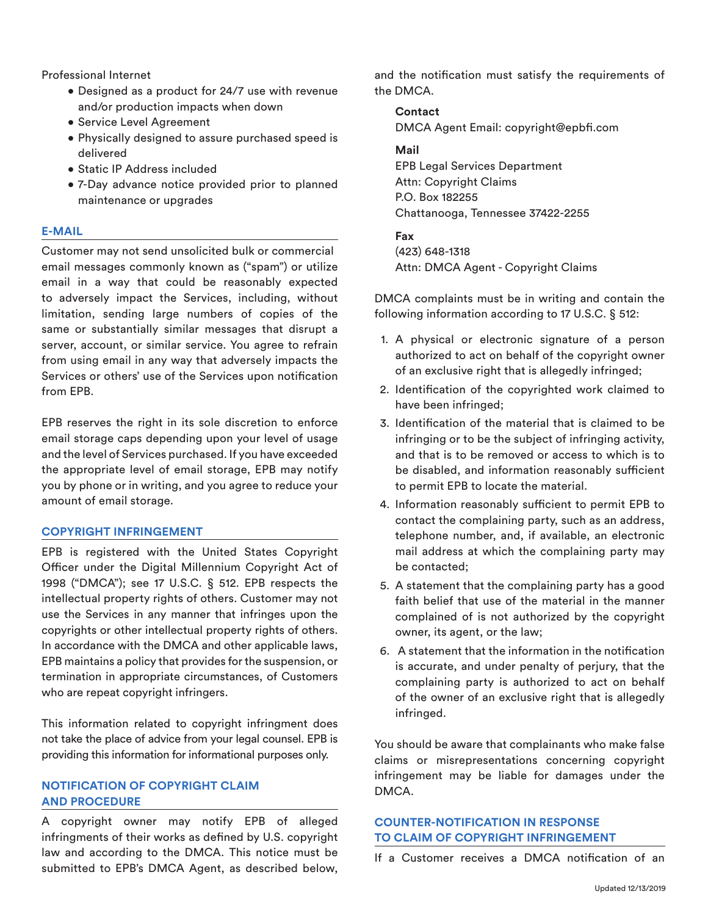Professional Internet

- Designed as a product for 24/7 use with revenue and/or production impacts when down
- Service Level Agreement
- Physically designed to assure purchased speed is delivered
- Static IP Address included
- 7-Day advance notice provided prior to planned maintenance or upgrades

### **E-MAIL**

Customer may not send unsolicited bulk or commercial email messages commonly known as ("spam") or utilize email in a way that could be reasonably expected to adversely impact the Services, including, without limitation, sending large numbers of copies of the same or substantially similar messages that disrupt a server, account, or similar service. You agree to refrain from using email in any way that adversely impacts the Services or others' use of the Services upon notification from EPB.

EPB reserves the right in its sole discretion to enforce email storage caps depending upon your level of usage and the level of Services purchased. If you have exceeded the appropriate level of email storage, EPB may notify you by phone or in writing, and you agree to reduce your amount of email storage.

### **COPYRIGHT INFRINGEMENT**

EPB is registered with the United States Copyright Officer under the Digital Millennium Copyright Act of 1998 ("DMCA"); see 17 U.S.C. § 512. EPB respects the intellectual property rights of others. Customer may not use the Services in any manner that infringes upon the copyrights or other intellectual property rights of others. In accordance with the DMCA and other applicable laws, EPB maintains a policy that provides for the suspension, or termination in appropriate circumstances, of Customers who are repeat copyright infringers.

This information related to copyright infringment does not take the place of advice from your legal counsel. EPB is providing this information for informational purposes only.

## **NOTIFICATION OF COPYRIGHT CLAIM AND PROCEDURE**

A copyright owner may notify EPB of alleged infringments of their works as defined by U.S. copyright law and according to the DMCA. This notice must be submitted to EPB's DMCA Agent, as described below, and the notification must satisfy the requirements of the DMCA.

# **Contact**  DMCA Agent Email: copyright@epbfi.com

# **Mail**

EPB Legal Services Department Attn: Copyright Claims P.O. Box 182255 Chattanooga, Tennessee 37422-2255

## **Fax**

(423) 648-1318 Attn: DMCA Agent - Copyright Claims

DMCA complaints must be in writing and contain the following information according to 17 U.S.C. § 512:

- 1. A physical or electronic signature of a person authorized to act on behalf of the copyright owner of an exclusive right that is allegedly infringed;
- 2. Identification of the copyrighted work claimed to have been infringed;
- 3. Identification of the material that is claimed to be infringing or to be the subject of infringing activity, and that is to be removed or access to which is to be disabled, and information reasonably sufficient to permit EPB to locate the material.
- 4. Information reasonably sufficient to permit EPB to contact the complaining party, such as an address, telephone number, and, if available, an electronic mail address at which the complaining party may be contacted;
- 5. A statement that the complaining party has a good faith belief that use of the material in the manner complained of is not authorized by the copyright owner, its agent, or the law;
- 6. A statement that the information in the notification is accurate, and under penalty of perjury, that the complaining party is authorized to act on behalf of the owner of an exclusive right that is allegedly infringed.

You should be aware that complainants who make false claims or misrepresentations concerning copyright infringement may be liable for damages under the DMCA.

# **COUNTER-NOTIFICATION IN RESPONSE TO CLAIM OF COPYRIGHT INFRINGEMENT**

If a Customer receives a DMCA notification of an